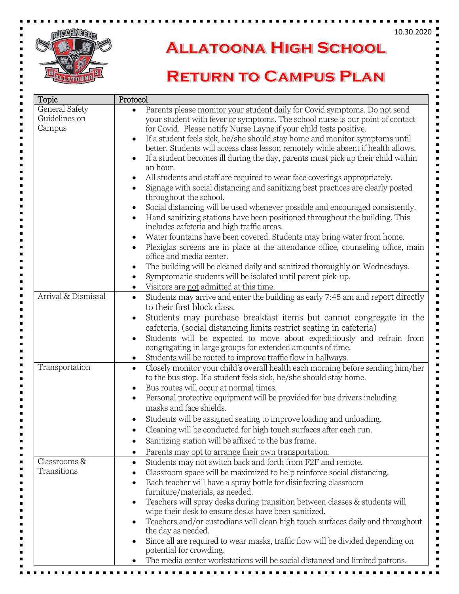

## **ALLATOONA HIGH SCHOOL**

## **RETURN TO CAMPUS PLAN**

| Topic                                     | Protocol                                                                                                                                                                                                                                                                                                                                                                                                                                                                                                                                                                                                                                                                                                                                                                                                                                                                                                                                                  |
|-------------------------------------------|-----------------------------------------------------------------------------------------------------------------------------------------------------------------------------------------------------------------------------------------------------------------------------------------------------------------------------------------------------------------------------------------------------------------------------------------------------------------------------------------------------------------------------------------------------------------------------------------------------------------------------------------------------------------------------------------------------------------------------------------------------------------------------------------------------------------------------------------------------------------------------------------------------------------------------------------------------------|
| General Safety<br>Guidelines on<br>Campus | Parents please monitor your student daily for Covid symptoms. Do not send<br>$\bullet$<br>your student with fever or symptoms. The school nurse is our point of contact<br>for Covid. Please notify Nurse Layne if your child tests positive.<br>If a student feels sick, he/she should stay home and monitor symptoms until<br>$\bullet$<br>better. Students will access class lesson remotely while absent if health allows.<br>If a student becomes ill during the day, parents must pick up their child within<br>$\bullet$<br>an hour.<br>All students and staff are required to wear face coverings appropriately.<br>$\bullet$<br>Signage with social distancing and sanitizing best practices are clearly posted<br>$\bullet$<br>throughout the school.<br>Social distancing will be used whenever possible and encouraged consistently.<br>$\bullet$<br>Hand sanitizing stations have been positioned throughout the building. This<br>$\bullet$ |
|                                           | includes cafeteria and high traffic areas.<br>Water fountains have been covered. Students may bring water from home.<br>$\bullet$<br>Plexiglas screens are in place at the attendance office, counseling office, main<br>$\bullet$<br>office and media center.<br>The building will be cleaned daily and sanitized thoroughly on Wednesdays.<br>$\bullet$<br>Symptomatic students will be isolated until parent pick-up.<br>$\bullet$<br>Visitors are not admitted at this time.<br>$\bullet$                                                                                                                                                                                                                                                                                                                                                                                                                                                             |
| Arrival & Dismissal                       | Students may arrive and enter the building as early 7:45 am and report directly<br>$\bullet$<br>to their first block class.<br>Students may purchase breakfast items but cannot congregate in the<br>$\bullet$<br>cafeteria. (social distancing limits restrict seating in cafeteria)<br>Students will be expected to move about expeditiously and refrain from<br>$\bullet$<br>congregating in large groups for extended amounts of time.<br>Students will be routed to improve traffic flow in hallways.<br>$\bullet$                                                                                                                                                                                                                                                                                                                                                                                                                                   |
| Transportation                            | Closely monitor your child's overall health each morning before sending him/her<br>$\bullet$<br>to the bus stop. If a student feels sick, he/she should stay home.<br>Bus routes will occur at normal times.<br>$\bullet$<br>Personal protective equipment will be provided for bus drivers including<br>$\bullet$<br>masks and face shields.<br>Students will be assigned seating to improve loading and unloading.<br>$\bullet$<br>Cleaning will be conducted for high touch surfaces after each run.<br>Sanitizing station will be affixed to the bus frame.<br>Parents may opt to arrange their own transportation.<br>٠                                                                                                                                                                                                                                                                                                                              |
| Classrooms &<br>Transitions               | Students may not switch back and forth from F2F and remote.<br>$\bullet$<br>Classroom space will be maximized to help reinforce social distancing.<br>Each teacher will have a spray bottle for disinfecting classroom<br>furniture/materials, as needed.<br>Teachers will spray desks during transition between classes & students will<br>$\bullet$<br>wipe their desk to ensure desks have been sanitized.<br>Teachers and/or custodians will clean high touch surfaces daily and throughout<br>$\bullet$<br>the day as needed.<br>Since all are required to wear masks, traffic flow will be divided depending on<br>$\bullet$<br>potential for crowding.<br>The media center workstations will be social distanced and limited patrons.                                                                                                                                                                                                              |